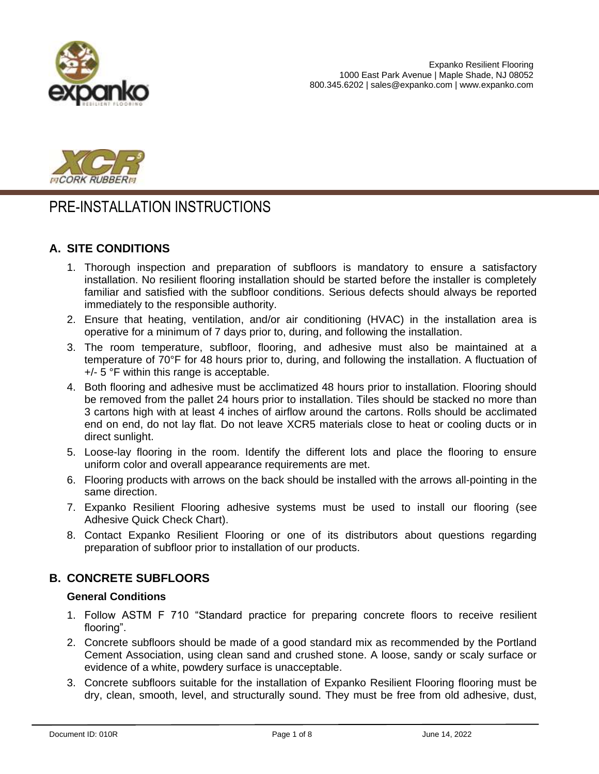



# PRE-INSTALLATION INSTRUCTIONS

# **A. SITE CONDITIONS**

- 1. Thorough inspection and preparation of subfloors is mandatory to ensure a satisfactory installation. No resilient flooring installation should be started before the installer is completely familiar and satisfied with the subfloor conditions. Serious defects should always be reported immediately to the responsible authority.
- 2. Ensure that heating, ventilation, and/or air conditioning (HVAC) in the installation area is operative for a minimum of 7 days prior to, during, and following the installation.
- 3. The room temperature, subfloor, flooring, and adhesive must also be maintained at a temperature of 70°F for 48 hours prior to, during, and following the installation. A fluctuation of +/- 5 °F within this range is acceptable.
- 4. Both flooring and adhesive must be acclimatized 48 hours prior to installation. Flooring should be removed from the pallet 24 hours prior to installation. Tiles should be stacked no more than 3 cartons high with at least 4 inches of airflow around the cartons. Rolls should be acclimated end on end, do not lay flat. Do not leave XCR5 materials close to heat or cooling ducts or in direct sunlight.
- 5. Loose-lay flooring in the room. Identify the different lots and place the flooring to ensure uniform color and overall appearance requirements are met.
- 6. Flooring products with arrows on the back should be installed with the arrows all-pointing in the same direction.
- 7. Expanko Resilient Flooring adhesive systems must be used to install our flooring (see Adhesive Quick Check Chart).
- 8. Contact Expanko Resilient Flooring or one of its distributors about questions regarding preparation of subfloor prior to installation of our products.

# **B. CONCRETE SUBFLOORS**

## **General Conditions**

- 1. Follow ASTM F 710 "Standard practice for preparing concrete floors to receive resilient flooring".
- 2. Concrete subfloors should be made of a good standard mix as recommended by the Portland Cement Association, using clean sand and crushed stone. A loose, sandy or scaly surface or evidence of a white, powdery surface is unacceptable.
- 3. Concrete subfloors suitable for the installation of Expanko Resilient Flooring flooring must be dry, clean, smooth, level, and structurally sound. They must be free from old adhesive, dust,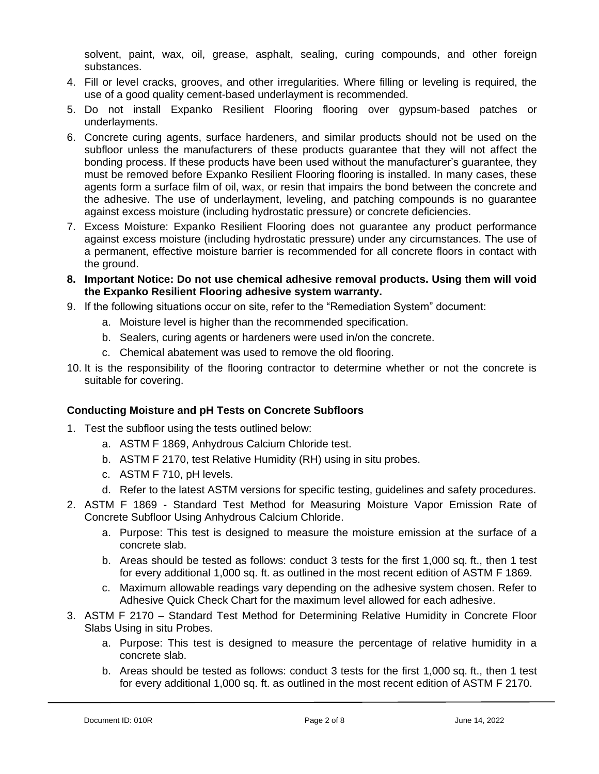solvent, paint, wax, oil, grease, asphalt, sealing, curing compounds, and other foreign substances.

- 4. Fill or level cracks, grooves, and other irregularities. Where filling or leveling is required, the use of a good quality cement-based underlayment is recommended.
- 5. Do not install Expanko Resilient Flooring flooring over gypsum-based patches or underlayments.
- 6. Concrete curing agents, surface hardeners, and similar products should not be used on the subfloor unless the manufacturers of these products guarantee that they will not affect the bonding process. If these products have been used without the manufacturer's guarantee, they must be removed before Expanko Resilient Flooring flooring is installed. In many cases, these agents form a surface film of oil, wax, or resin that impairs the bond between the concrete and the adhesive. The use of underlayment, leveling, and patching compounds is no guarantee against excess moisture (including hydrostatic pressure) or concrete deficiencies.
- 7. Excess Moisture: Expanko Resilient Flooring does not guarantee any product performance against excess moisture (including hydrostatic pressure) under any circumstances. The use of a permanent, effective moisture barrier is recommended for all concrete floors in contact with the ground.
- **8. Important Notice: Do not use chemical adhesive removal products. Using them will void the Expanko Resilient Flooring adhesive system warranty.**
- 9. If the following situations occur on site, refer to the "Remediation System" document:
	- a. Moisture level is higher than the recommended specification.
	- b. Sealers, curing agents or hardeners were used in/on the concrete.
	- c. Chemical abatement was used to remove the old flooring.
- 10. It is the responsibility of the flooring contractor to determine whether or not the concrete is suitable for covering.

## **Conducting Moisture and pH Tests on Concrete Subfloors**

- 1. Test the subfloor using the tests outlined below:
	- a. ASTM F 1869, Anhydrous Calcium Chloride test.
	- b. ASTM F 2170, test Relative Humidity (RH) using in situ probes.
	- c. ASTM F 710, pH levels.
	- d. Refer to the latest ASTM versions for specific testing, guidelines and safety procedures.
- 2. ASTM F 1869 Standard Test Method for Measuring Moisture Vapor Emission Rate of Concrete Subfloor Using Anhydrous Calcium Chloride.
	- a. Purpose: This test is designed to measure the moisture emission at the surface of a concrete slab.
	- b. Areas should be tested as follows: conduct 3 tests for the first 1,000 sq. ft., then 1 test for every additional 1,000 sq. ft. as outlined in the most recent edition of ASTM F 1869.
	- c. Maximum allowable readings vary depending on the adhesive system chosen. Refer to Adhesive Quick Check Chart for the maximum level allowed for each adhesive.
- 3. ASTM F 2170 Standard Test Method for Determining Relative Humidity in Concrete Floor Slabs Using in situ Probes.
	- a. Purpose: This test is designed to measure the percentage of relative humidity in a concrete slab.
	- b. Areas should be tested as follows: conduct 3 tests for the first 1,000 sq. ft., then 1 test for every additional 1,000 sq. ft. as outlined in the most recent edition of ASTM F 2170.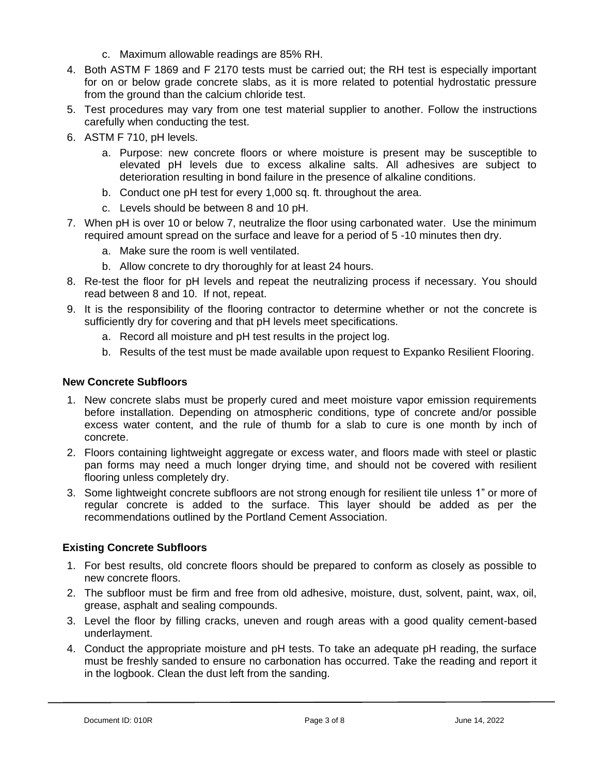- c. Maximum allowable readings are 85% RH.
- 4. Both ASTM F 1869 and F 2170 tests must be carried out; the RH test is especially important for on or below grade concrete slabs, as it is more related to potential hydrostatic pressure from the ground than the calcium chloride test.
- 5. Test procedures may vary from one test material supplier to another. Follow the instructions carefully when conducting the test.
- 6. ASTM F 710, pH levels.
	- a. Purpose: new concrete floors or where moisture is present may be susceptible to elevated pH levels due to excess alkaline salts. All adhesives are subject to deterioration resulting in bond failure in the presence of alkaline conditions.
	- b. Conduct one pH test for every 1,000 sq. ft. throughout the area.
	- c. Levels should be between 8 and 10 pH.
- 7. When pH is over 10 or below 7, neutralize the floor using carbonated water. Use the minimum required amount spread on the surface and leave for a period of 5 -10 minutes then dry.
	- a. Make sure the room is well ventilated.
	- b. Allow concrete to dry thoroughly for at least 24 hours.
- 8. Re-test the floor for pH levels and repeat the neutralizing process if necessary. You should read between 8 and 10. If not, repeat.
- 9. It is the responsibility of the flooring contractor to determine whether or not the concrete is sufficiently dry for covering and that pH levels meet specifications.
	- a. Record all moisture and pH test results in the project log.
	- b. Results of the test must be made available upon request to Expanko Resilient Flooring.

#### **New Concrete Subfloors**

- 1. New concrete slabs must be properly cured and meet moisture vapor emission requirements before installation. Depending on atmospheric conditions, type of concrete and/or possible excess water content, and the rule of thumb for a slab to cure is one month by inch of concrete.
- 2. Floors containing lightweight aggregate or excess water, and floors made with steel or plastic pan forms may need a much longer drying time, and should not be covered with resilient flooring unless completely dry.
- 3. Some lightweight concrete subfloors are not strong enough for resilient tile unless 1" or more of regular concrete is added to the surface. This layer should be added as per the recommendations outlined by the Portland Cement Association.

## **Existing Concrete Subfloors**

- 1. For best results, old concrete floors should be prepared to conform as closely as possible to new concrete floors.
- 2. The subfloor must be firm and free from old adhesive, moisture, dust, solvent, paint, wax, oil, grease, asphalt and sealing compounds.
- 3. Level the floor by filling cracks, uneven and rough areas with a good quality cement-based underlayment.
- 4. Conduct the appropriate moisture and pH tests. To take an adequate pH reading, the surface must be freshly sanded to ensure no carbonation has occurred. Take the reading and report it in the logbook. Clean the dust left from the sanding.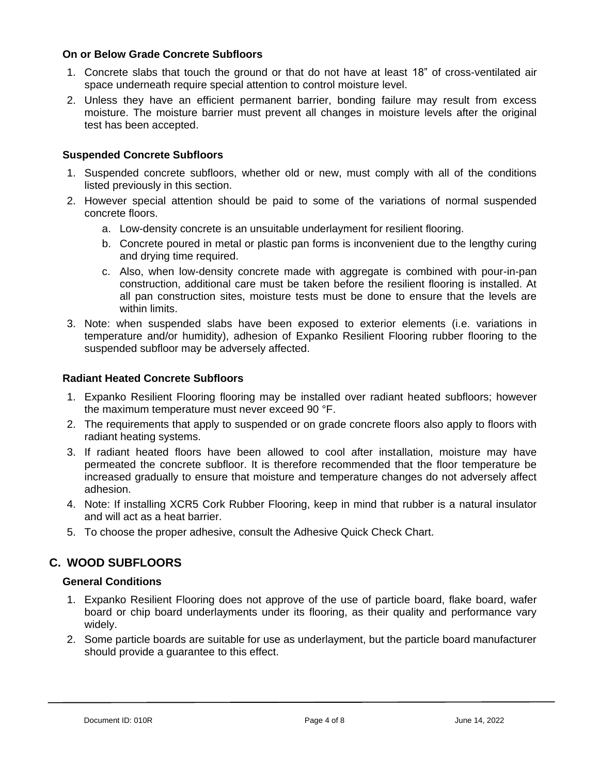#### **On or Below Grade Concrete Subfloors**

- 1. Concrete slabs that touch the ground or that do not have at least 18" of cross-ventilated air space underneath require special attention to control moisture level.
- 2. Unless they have an efficient permanent barrier, bonding failure may result from excess moisture. The moisture barrier must prevent all changes in moisture levels after the original test has been accepted.

### **Suspended Concrete Subfloors**

- 1. Suspended concrete subfloors, whether old or new, must comply with all of the conditions listed previously in this section.
- 2. However special attention should be paid to some of the variations of normal suspended concrete floors.
	- a. Low-density concrete is an unsuitable underlayment for resilient flooring.
	- b. Concrete poured in metal or plastic pan forms is inconvenient due to the lengthy curing and drying time required.
	- c. Also, when low-density concrete made with aggregate is combined with pour-in-pan construction, additional care must be taken before the resilient flooring is installed. At all pan construction sites, moisture tests must be done to ensure that the levels are within limits.
- 3. Note: when suspended slabs have been exposed to exterior elements (i.e. variations in temperature and/or humidity), adhesion of Expanko Resilient Flooring rubber flooring to the suspended subfloor may be adversely affected.

#### **Radiant Heated Concrete Subfloors**

- 1. Expanko Resilient Flooring flooring may be installed over radiant heated subfloors; however the maximum temperature must never exceed 90 °F.
- 2. The requirements that apply to suspended or on grade concrete floors also apply to floors with radiant heating systems.
- 3. If radiant heated floors have been allowed to cool after installation, moisture may have permeated the concrete subfloor. It is therefore recommended that the floor temperature be increased gradually to ensure that moisture and temperature changes do not adversely affect adhesion.
- 4. Note: If installing XCR5 Cork Rubber Flooring, keep in mind that rubber is a natural insulator and will act as a heat barrier.
- 5. To choose the proper adhesive, consult the Adhesive Quick Check Chart.

# **C. WOOD SUBFLOORS**

#### **General Conditions**

- 1. Expanko Resilient Flooring does not approve of the use of particle board, flake board, wafer board or chip board underlayments under its flooring, as their quality and performance vary widely.
- 2. Some particle boards are suitable for use as underlayment, but the particle board manufacturer should provide a guarantee to this effect.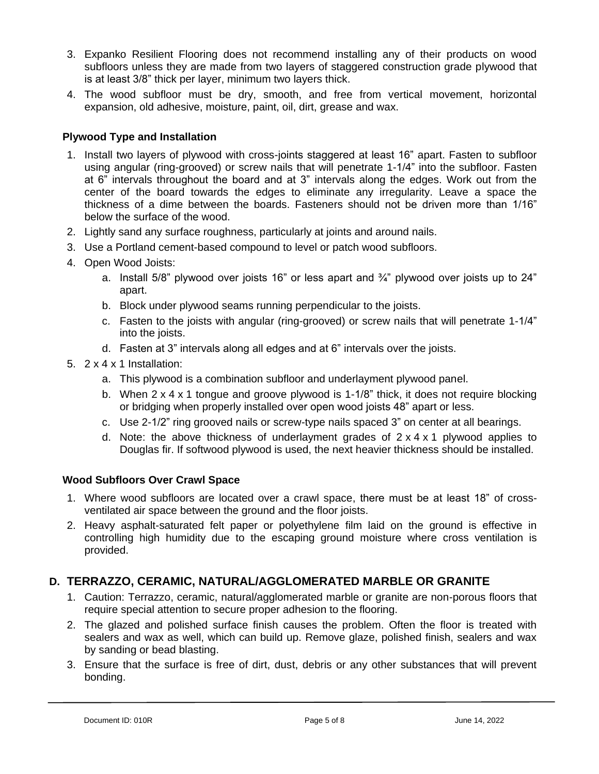- 3. Expanko Resilient Flooring does not recommend installing any of their products on wood subfloors unless they are made from two layers of staggered construction grade plywood that is at least 3/8" thick per layer, minimum two layers thick.
- 4. The wood subfloor must be dry, smooth, and free from vertical movement, horizontal expansion, old adhesive, moisture, paint, oil, dirt, grease and wax.

# **Plywood Type and Installation**

- 1. Install two layers of plywood with cross-joints staggered at least 16" apart. Fasten to subfloor using angular (ring-grooved) or screw nails that will penetrate 1-1/4" into the subfloor. Fasten at 6" intervals throughout the board and at 3" intervals along the edges. Work out from the center of the board towards the edges to eliminate any irregularity. Leave a space the thickness of a dime between the boards. Fasteners should not be driven more than 1/16" below the surface of the wood.
- 2. Lightly sand any surface roughness, particularly at joints and around nails.
- 3. Use a Portland cement-based compound to level or patch wood subfloors.
- 4. Open Wood Joists:
	- a. Install 5/8" plywood over joists 16" or less apart and  $\frac{3}{4}$ " plywood over joists up to 24" apart.
	- b. Block under plywood seams running perpendicular to the joists.
	- c. Fasten to the joists with angular (ring-grooved) or screw nails that will penetrate 1-1/4" into the joists.
	- d. Fasten at 3" intervals along all edges and at 6" intervals over the joists.
- 5. 2 x 4 x 1 Installation:
	- a. This plywood is a combination subfloor and underlayment plywood panel.
	- b. When 2 x 4 x 1 tongue and groove plywood is 1-1/8" thick, it does not require blocking or bridging when properly installed over open wood joists 48" apart or less.
	- c. Use 2-1/2" ring grooved nails or screw-type nails spaced 3" on center at all bearings.
	- d. Note: the above thickness of underlayment grades of  $2 \times 4 \times 1$  plywood applies to Douglas fir. If softwood plywood is used, the next heavier thickness should be installed.

## **Wood Subfloors Over Crawl Space**

- 1. Where wood subfloors are located over a crawl space, there must be at least 18" of crossventilated air space between the ground and the floor joists.
- 2. Heavy asphalt-saturated felt paper or polyethylene film laid on the ground is effective in controlling high humidity due to the escaping ground moisture where cross ventilation is provided.

# **D. TERRAZZO, CERAMIC, NATURAL/AGGLOMERATED MARBLE OR GRANITE**

- 1. Caution: Terrazzo, ceramic, natural/agglomerated marble or granite are non-porous floors that require special attention to secure proper adhesion to the flooring.
- 2. The glazed and polished surface finish causes the problem. Often the floor is treated with sealers and wax as well, which can build up. Remove glaze, polished finish, sealers and wax by sanding or bead blasting.
- 3. Ensure that the surface is free of dirt, dust, debris or any other substances that will prevent bonding.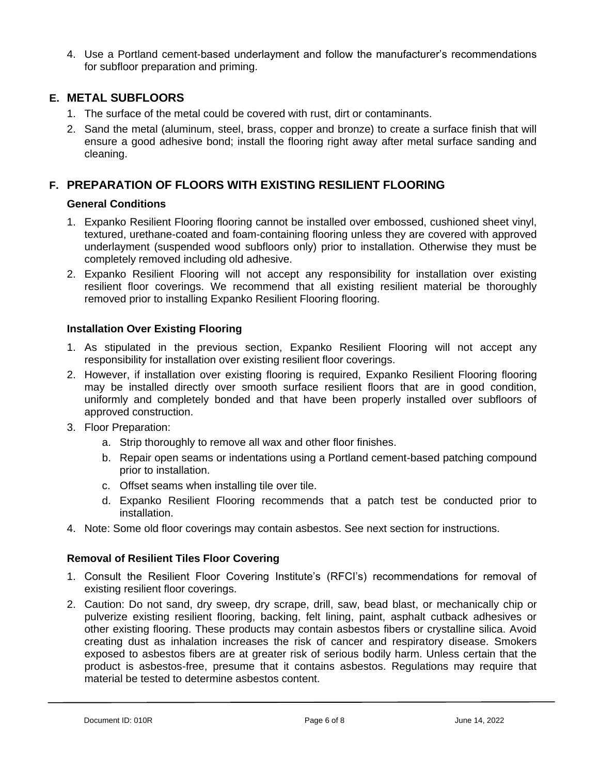4. Use a Portland cement-based underlayment and follow the manufacturer's recommendations for subfloor preparation and priming.

# **E. METAL SUBFLOORS**

- 1. The surface of the metal could be covered with rust, dirt or contaminants.
- 2. Sand the metal (aluminum, steel, brass, copper and bronze) to create a surface finish that will ensure a good adhesive bond; install the flooring right away after metal surface sanding and cleaning.

# **F. PREPARATION OF FLOORS WITH EXISTING RESILIENT FLOORING**

#### **General Conditions**

- 1. Expanko Resilient Flooring flooring cannot be installed over embossed, cushioned sheet vinyl, textured, urethane-coated and foam-containing flooring unless they are covered with approved underlayment (suspended wood subfloors only) prior to installation. Otherwise they must be completely removed including old adhesive.
- 2. Expanko Resilient Flooring will not accept any responsibility for installation over existing resilient floor coverings. We recommend that all existing resilient material be thoroughly removed prior to installing Expanko Resilient Flooring flooring.

## **Installation Over Existing Flooring**

- 1. As stipulated in the previous section, Expanko Resilient Flooring will not accept any responsibility for installation over existing resilient floor coverings.
- 2. However, if installation over existing flooring is required, Expanko Resilient Flooring flooring may be installed directly over smooth surface resilient floors that are in good condition, uniformly and completely bonded and that have been properly installed over subfloors of approved construction.
- 3. Floor Preparation:
	- a. Strip thoroughly to remove all wax and other floor finishes.
	- b. Repair open seams or indentations using a Portland cement-based patching compound prior to installation.
	- c. Offset seams when installing tile over tile.
	- d. Expanko Resilient Flooring recommends that a patch test be conducted prior to installation.
- 4. Note: Some old floor coverings may contain asbestos. See next section for instructions.

## **Removal of Resilient Tiles Floor Covering**

- 1. Consult the Resilient Floor Covering Institute's (RFCI's) recommendations for removal of existing resilient floor coverings.
- 2. Caution: Do not sand, dry sweep, dry scrape, drill, saw, bead blast, or mechanically chip or pulverize existing resilient flooring, backing, felt lining, paint, asphalt cutback adhesives or other existing flooring. These products may contain asbestos fibers or crystalline silica. Avoid creating dust as inhalation increases the risk of cancer and respiratory disease. Smokers exposed to asbestos fibers are at greater risk of serious bodily harm. Unless certain that the product is asbestos-free, presume that it contains asbestos. Regulations may require that material be tested to determine asbestos content.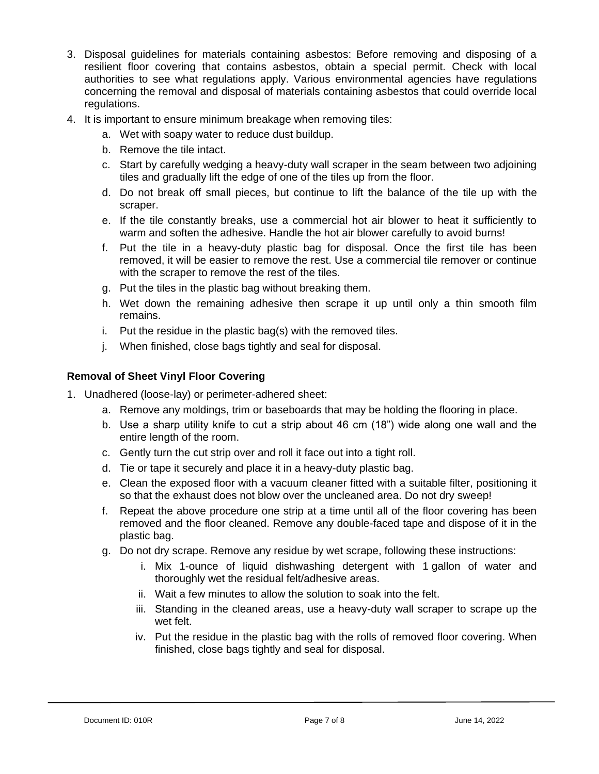- 3. Disposal guidelines for materials containing asbestos: Before removing and disposing of a resilient floor covering that contains asbestos, obtain a special permit. Check with local authorities to see what regulations apply. Various environmental agencies have regulations concerning the removal and disposal of materials containing asbestos that could override local regulations.
- 4. It is important to ensure minimum breakage when removing tiles:
	- a. Wet with soapy water to reduce dust buildup.
	- b. Remove the tile intact.
	- c. Start by carefully wedging a heavy-duty wall scraper in the seam between two adjoining tiles and gradually lift the edge of one of the tiles up from the floor.
	- d. Do not break off small pieces, but continue to lift the balance of the tile up with the scraper.
	- e. If the tile constantly breaks, use a commercial hot air blower to heat it sufficiently to warm and soften the adhesive. Handle the hot air blower carefully to avoid burns!
	- f. Put the tile in a heavy-duty plastic bag for disposal. Once the first tile has been removed, it will be easier to remove the rest. Use a commercial tile remover or continue with the scraper to remove the rest of the tiles.
	- g. Put the tiles in the plastic bag without breaking them.
	- h. Wet down the remaining adhesive then scrape it up until only a thin smooth film remains.
	- i. Put the residue in the plastic bag(s) with the removed tiles.
	- j. When finished, close bags tightly and seal for disposal.

#### **Removal of Sheet Vinyl Floor Covering**

- 1. Unadhered (loose-lay) or perimeter-adhered sheet:
	- a. Remove any moldings, trim or baseboards that may be holding the flooring in place.
	- b. Use a sharp utility knife to cut a strip about 46 cm (18") wide along one wall and the entire length of the room.
	- c. Gently turn the cut strip over and roll it face out into a tight roll.
	- d. Tie or tape it securely and place it in a heavy-duty plastic bag.
	- e. Clean the exposed floor with a vacuum cleaner fitted with a suitable filter, positioning it so that the exhaust does not blow over the uncleaned area. Do not dry sweep!
	- f. Repeat the above procedure one strip at a time until all of the floor covering has been removed and the floor cleaned. Remove any double-faced tape and dispose of it in the plastic bag.
	- g. Do not dry scrape. Remove any residue by wet scrape, following these instructions:
		- i. Mix 1-ounce of liquid dishwashing detergent with 1 gallon of water and thoroughly wet the residual felt/adhesive areas.
		- ii. Wait a few minutes to allow the solution to soak into the felt.
		- iii. Standing in the cleaned areas, use a heavy-duty wall scraper to scrape up the wet felt.
		- iv. Put the residue in the plastic bag with the rolls of removed floor covering. When finished, close bags tightly and seal for disposal.